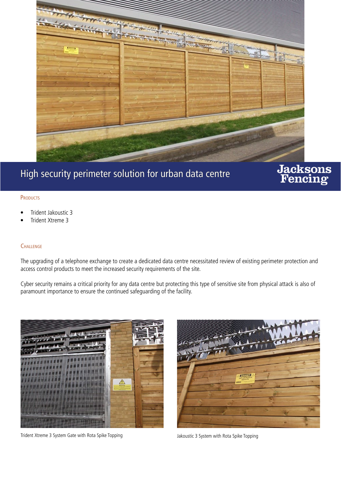

## High security perimeter solution for urban data centre

# **Jacksons**<br>Fencing

### PRODUCTS

- Trident Jakoustic 3
- Trident Xtreme 3

### **CHALLENGE**

The upgrading of a telephone exchange to create a dedicated data centre necessitated review of existing perimeter protection and access control products to meet the increased security requirements of the site.

Cyber security remains a critical priority for any data centre but protecting this type of sensitive site from physical attack is also of paramount importance to ensure the continued safeguarding of the facility.



Trident Xtreme 3 System Gate with Rota Spike Topping Jakoustic 3 System with Rota Spike Topping